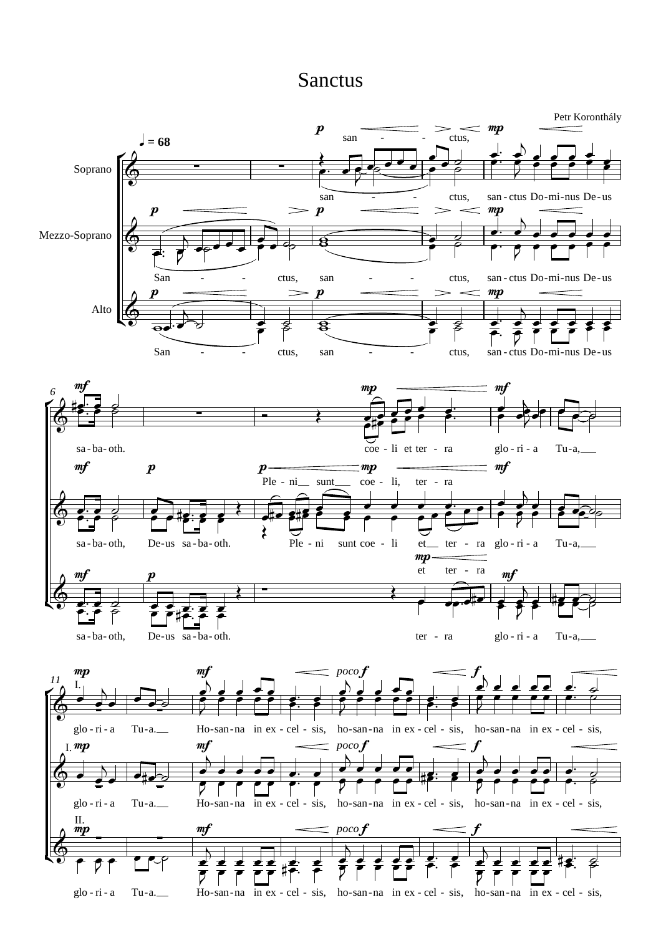## Sanctus